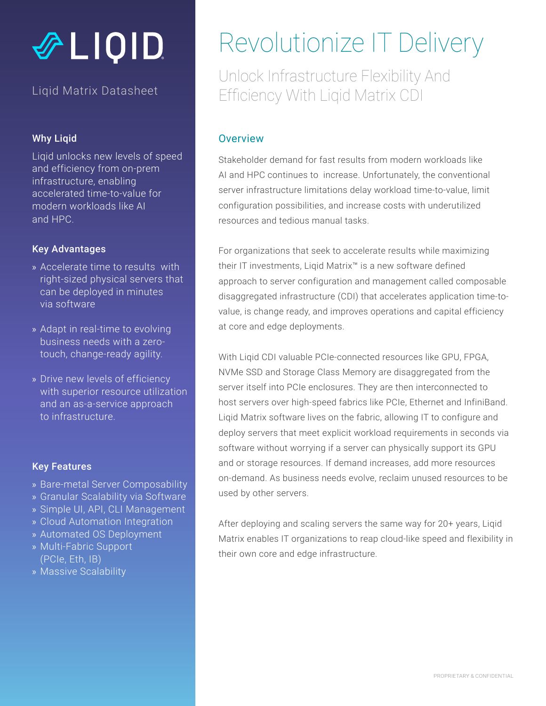# **多LIQID**

#### Liqid Matrix Datasheet

#### Why Liqid

Liqid unlocks new levels of speed and efficiency from on-prem infrastructure, enabling accelerated time-to-value for modern workloads like AI and HPC.

#### Key Advantages

- » Accelerate time to results with right-sized physical servers that can be deployed in minutes via software
- » Adapt in real-time to evolving business needs with a zerotouch, change-ready agility.
- » Drive new levels of efficiency with superior resource utilization and an as-a-service approach to infrastructure.

#### Key Features

- » Bare-metal Server Composability
- » Granular Scalability via Software
- » Simple UI, API, CLI Management
- » Cloud Automation Integration
- » Automated OS Deployment
- » Multi-Fabric Support (PCIe, Eth, IB)
- » Massive Scalability

## Revolutionize IT Delivery

Unlock Infrastructure Flexibility And Efficiency With Liqid Matrix CDI

#### **Overview**

Stakeholder demand for fast results from modern workloads like AI and HPC continues to increase. Unfortunately, the conventional server infrastructure limitations delay workload time-to-value, limit configuration possibilities, and increase costs with underutilized resources and tedious manual tasks.

For organizations that seek to accelerate results while maximizing their IT investments, Liqid Matrix™ is a new software defined approach to server configuration and management called composable disaggregated infrastructure (CDI) that accelerates application time-tovalue, is change ready, and improves operations and capital efficiency at core and edge deployments.

With Liqid CDI valuable PCIe-connected resources like GPU, FPGA, NVMe SSD and Storage Class Memory are disaggregated from the server itself into PCIe enclosures. They are then interconnected to host servers over high-speed fabrics like PCIe, Ethernet and InfiniBand. Liqid Matrix software lives on the fabric, allowing IT to configure and deploy servers that meet explicit workload requirements in seconds via software without worrying if a server can physically support its GPU and or storage resources. If demand increases, add more resources on-demand. As business needs evolve, reclaim unused resources to be used by other servers.

After deploying and scaling servers the same way for 20+ years, Liqid Matrix enables IT organizations to reap cloud-like speed and flexibility in their own core and edge infrastructure.